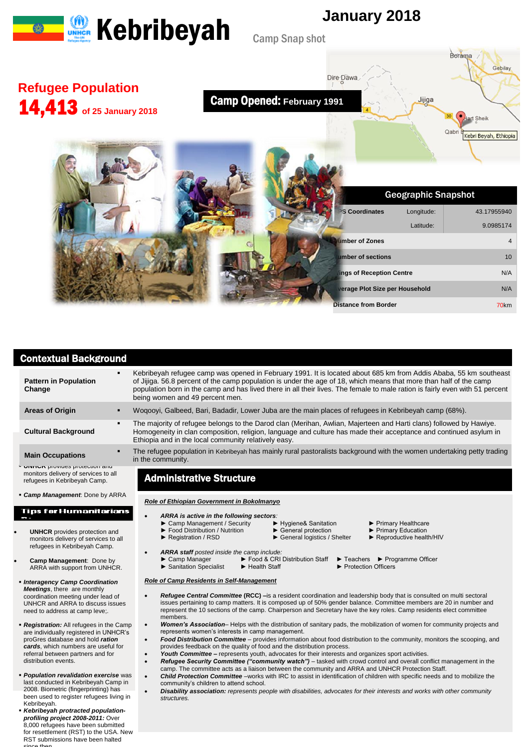



## Contextual Background

| <b>Pattern in Population</b><br>Change                                                                        | Kebribeyah refugee camp was opened in February 1991. It is located about 685 km from Addis Ababa, 55 km southeast<br>of Jijiga. 56.8 percent of the camp population is under the age of 18, which means that more than half of the camp<br>population born in the camp and has lived there in all their lives. The female to male ration is fairly even with 51 percent<br>being women and 49 percent men. |
|---------------------------------------------------------------------------------------------------------------|------------------------------------------------------------------------------------------------------------------------------------------------------------------------------------------------------------------------------------------------------------------------------------------------------------------------------------------------------------------------------------------------------------|
| <b>Areas of Origin</b>                                                                                        | Wogooyi, Galbeed, Bari, Badadir, Lower Juba are the main places of refugees in Kebribeyah camp (68%).                                                                                                                                                                                                                                                                                                      |
| <b>Cultural Background</b>                                                                                    | The majority of refugee belongs to the Darod clan (Merihan, Awlian, Majerteen and Harti clans) followed by Hawiye.<br>Homogeneity in clan composition, religion, language and culture has made their acceptance and continued asylum in<br>Ethiopia and in the local community relatively easy.                                                                                                            |
| <b>Main Occupations</b>                                                                                       | The refugee population in Kebribeyah has mainly rural pastoralists background with the women undertaking petty trading<br>in the community.                                                                                                                                                                                                                                                                |
| <b>UINTUR</b> provides protection and<br>monitors delivery of services to all<br>refugees in Kebribeyah Camp. | <b>Administrative Structure</b>                                                                                                                                                                                                                                                                                                                                                                            |
| • Camp Management: Done by ARRA                                                                               | Role of Ethiopian Government in Bokolmanyo                                                                                                                                                                                                                                                                                                                                                                 |
| Tips for Humanitarians                                                                                        | ARRA is active in the following sectors:                                                                                                                                                                                                                                                                                                                                                                   |

- **UNHCR** provides protection and monitors delivery of services to all refugees in Kebribeyah Camp.
- **Camp Management**: Done by ARRA with support from UNHCR.
- *Interagency Camp Coordination Meetings*, there are monthly coordination meeting under lead of UNHCR and ARRA to discuss issues need to address at camp leve;.
- *Registration:* All refugees in the Camp are individually registered in UNHCR's proGres database and hold *ration cards*, which numbers are useful for referral between partners and for distribution events.
- *Population revalidation exercise* was last conducted in Kebribeyah Camp in 2008. Biometric (fingerprinting) has been used to register refugees living in Kebribeyah.
- *Kebribeyah protracted populationprofiling project 2008-2011:* Over 8,000 refugees have been submitted for resettlement (RST) to the USA. New RST submissions have been halted since then.

▶ Sanitation Specialist

- ► Camp Management / Security → Hygiene& Sanitation → Primary Healthcare → Food Distribution / Nutrition → General protection → Primary Education
- ► Food Distribution / Nutrition ► General protection ► Primary Education ► Primary Education ► Primary Education ► Primary Education ► Primary Education ► Primary Education → Reproductive health/HIV ► General logistics / Shelter
- 
- -
- 
- 
- 
- 
- 
- 
- *ARRA staff posted inside the camp include:*
	- ► Food & CRI Distribution Staff ► Teachers ► Programme Officer<br>► Health Staff ► Protection Officers
		-
		-
- *Role of Camp Residents in Self-Management*
- *Refugee Central Committee* **(RCC) –**is a resident coordination and leadership body that is consulted on multi sectoral issues pertaining to camp matters. It is composed up of 50% gender balance. Committee members are 20 in number and represent the 10 sections of the camp. Chairperson and Secretary have the key roles. Camp residents elect committee members.
- *Women's Association* Helps with the distribution of sanitary pads, the mobilization of women for community projects and represents women's interests in camp management.
- *Food Distribution Committee*  provides information about food distribution to the community, monitors the scooping, and provides feedback on the quality of food and the distribution process.
- Youth Committee represents youth, advocates for their interests and organizes sport activities.
	- *Refugee Security Committee ("community watch")* tasked with crowd control and overall conflict management in the camp. The committee acts as a liaison between the community and ARRA and UNHCR Protection Staff.
- *Child Protection Committee* –works with IRC to assist in identification of children with specific needs and to mobilize the community's children to attend school.
- *Disability association: represents people with disabilities, advocates for their interests and works with other community structures.*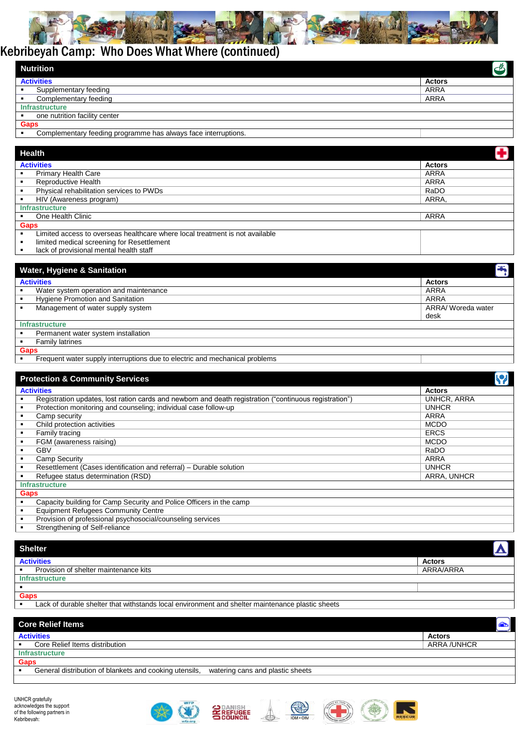

## Kebribeyah Camp: Who Does What Where (continued)

| Nutrition                                                      | ජ             |
|----------------------------------------------------------------|---------------|
| <b>Activities</b>                                              | <b>Actors</b> |
| Supplementary feeding                                          | ARRA          |
| Complementary feeding                                          | ARRA          |
| <b>Infrastructure</b>                                          |               |
| one nutrition facility center                                  |               |
| Gaps                                                           |               |
| Complementary feeding programme has always face interruptions. |               |

| Health                                                                       |               |
|------------------------------------------------------------------------------|---------------|
| <b>Activities</b>                                                            | <b>Actors</b> |
| <b>Primary Health Care</b>                                                   | ARRA          |
| Reproductive Health                                                          | ARRA          |
| Physical rehabilitation services to PWDs                                     | RaDO          |
| HIV (Awareness program)                                                      | ARRA,         |
| <b>Infrastructure</b>                                                        |               |
| One Health Clinic                                                            | <b>ARRA</b>   |
| <b>Gaps</b>                                                                  |               |
| Limited access to overseas healthcare where local treatment is not available |               |
| limited medical screening for Resettlement                                   |               |
| lack of provisional mental health staff                                      |               |

| 티                  |
|--------------------|
| <b>Actors</b>      |
| <b>ARRA</b>        |
| ARRA               |
| ARRA/ Woreda water |
| desk               |
|                    |
|                    |
|                    |
|                    |
|                    |
|                    |

|                   | <b>Protection &amp; Community Services</b>                                                             |               |  |
|-------------------|--------------------------------------------------------------------------------------------------------|---------------|--|
| <b>Activities</b> |                                                                                                        | <b>Actors</b> |  |
|                   | Registration updates, lost ration cards and newborn and death registration ("continuous registration") | UNHCR, ARRA   |  |
|                   | Protection monitoring and counseling; individual case follow-up                                        | <b>UNHCR</b>  |  |
|                   | Camp security                                                                                          | ARRA          |  |
|                   | Child protection activities                                                                            | <b>MCDO</b>   |  |
|                   | Family tracing                                                                                         | <b>ERCS</b>   |  |
|                   | FGM (awareness raising)                                                                                | <b>MCDO</b>   |  |
|                   | GBV                                                                                                    | RaDO          |  |
|                   | Camp Security                                                                                          | <b>ARRA</b>   |  |
|                   | Resettlement (Cases identification and referral) – Durable solution                                    | <b>UNHCR</b>  |  |
|                   | Refugee status determination (RSD)                                                                     | ARRA, UNHCR   |  |
|                   | <b>Infrastructure</b>                                                                                  |               |  |
| Gaps              |                                                                                                        |               |  |
|                   | Capacity building for Camp Security and Police Officers in the camp                                    |               |  |
|                   | <b>Equipment Refugees Community Centre</b>                                                             |               |  |
|                   | Provision of professional psychosocial/counseling services                                             |               |  |
|                   | Ctronathoning of Colf rollange                                                                         |               |  |

**EXECUTE:** Strengthening of Self-reliance

| <b>Shelter</b>                                                                                   |               |
|--------------------------------------------------------------------------------------------------|---------------|
| <b>Activities</b>                                                                                | <b>Actors</b> |
| Provision of shelter maintenance kits                                                            | ARRA/ARRA     |
| <b>Infrastructure</b>                                                                            |               |
|                                                                                                  |               |
| Gaps                                                                                             |               |
| Lack of durable shelter that withstands local environment and shelter maintenance plastic sheets |               |

| <b>Core Relief Items</b>                                                                   | $\left[\bigcirc\right]$ |
|--------------------------------------------------------------------------------------------|-------------------------|
| <b>Activities</b>                                                                          | <b>Actors</b>           |
| Core Relief Items distribution                                                             | ARRA /UNHCR             |
| <b>Infrastructure</b>                                                                      |                         |
| <b>Gaps</b>                                                                                |                         |
| General distribution of blankets and cooking utensils,<br>watering cans and plastic sheets |                         |
|                                                                                            |                         |